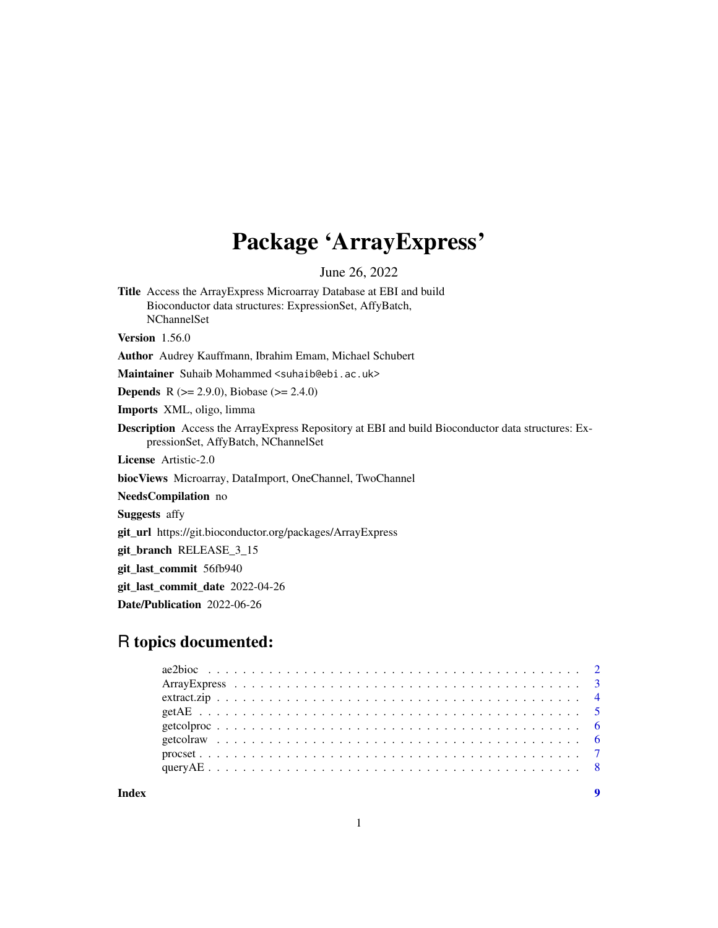## Package 'ArrayExpress'

June 26, 2022

<span id="page-0-0"></span>Title Access the ArrayExpress Microarray Database at EBI and build Bioconductor data structures: ExpressionSet, AffyBatch, NChannelSet Version 1.56.0 Author Audrey Kauffmann, Ibrahim Emam, Michael Schubert Maintainer Suhaib Mohammed <suhaib@ebi.ac.uk> **Depends** R ( $>= 2.9.0$ ), Biobase ( $>= 2.4.0$ ) Imports XML, oligo, limma Description Access the ArrayExpress Repository at EBI and build Bioconductor data structures: ExpressionSet, AffyBatch, NChannelSet License Artistic-2.0 biocViews Microarray, DataImport, OneChannel, TwoChannel NeedsCompilation no Suggests affy git\_url https://git.bioconductor.org/packages/ArrayExpress git\_branch RELEASE\_3\_15 git\_last\_commit 56fb940 git\_last\_commit\_date 2022-04-26 Date/Publication 2022-06-26

## R topics documented:

**Index** [9](#page-8-0)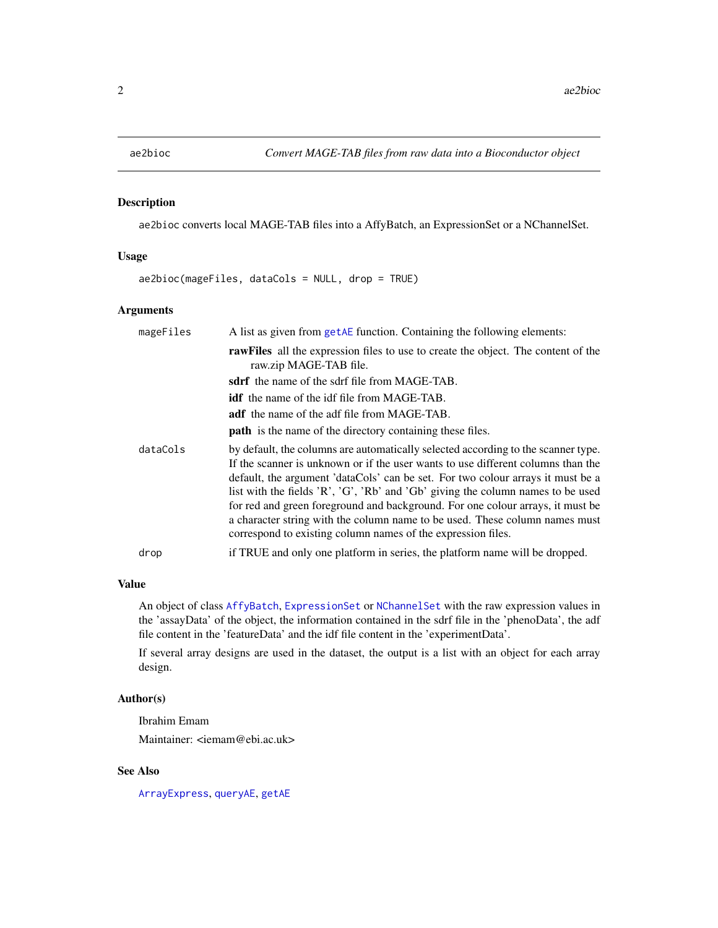<span id="page-1-1"></span><span id="page-1-0"></span>

ae2bioc converts local MAGE-TAB files into a AffyBatch, an ExpressionSet or a NChannelSet.

#### Usage

ae2bioc(mageFiles, dataCols = NULL, drop = TRUE)

#### Arguments

| mageFiles | A list as given from getAE function. Containing the following elements:                                                                                                                                                                                                                                                                                                                                                                                                                                                                                                      |
|-----------|------------------------------------------------------------------------------------------------------------------------------------------------------------------------------------------------------------------------------------------------------------------------------------------------------------------------------------------------------------------------------------------------------------------------------------------------------------------------------------------------------------------------------------------------------------------------------|
|           | rawFiles all the expression files to use to create the object. The content of the<br>raw.zip MAGE-TAB file.                                                                                                                                                                                                                                                                                                                                                                                                                                                                  |
|           | <b>sdrf</b> the name of the sdrf file from MAGE-TAB.                                                                                                                                                                                                                                                                                                                                                                                                                                                                                                                         |
|           | <b>idf</b> the name of the idf file from MAGE-TAB.                                                                                                                                                                                                                                                                                                                                                                                                                                                                                                                           |
|           | <b>adf</b> the name of the adf file from MAGE-TAB.                                                                                                                                                                                                                                                                                                                                                                                                                                                                                                                           |
|           | <b>path</b> is the name of the directory containing these files.                                                                                                                                                                                                                                                                                                                                                                                                                                                                                                             |
| dataCols  | by default, the columns are automatically selected according to the scanner type.<br>If the scanner is unknown or if the user wants to use different columns than the<br>default, the argument 'dataCols' can be set. For two colour arrays it must be a<br>list with the fields 'R', 'G', 'Rb' and 'Gb' giving the column names to be used<br>for red and green foreground and background. For one colour arrays, it must be<br>a character string with the column name to be used. These column names must<br>correspond to existing column names of the expression files. |
| drop      | if TRUE and only one platform in series, the platform name will be dropped.                                                                                                                                                                                                                                                                                                                                                                                                                                                                                                  |

#### Value

An object of class [AffyBatch](#page-0-0), [ExpressionSet](#page-0-0) or [NChannelSet](#page-0-0) with the raw expression values in the 'assayData' of the object, the information contained in the sdrf file in the 'phenoData', the adf file content in the 'featureData' and the idf file content in the 'experimentData'.

If several array designs are used in the dataset, the output is a list with an object for each array design.

#### Author(s)

Ibrahim Emam

Maintainer: <iemam@ebi.ac.uk>

#### See Also

[ArrayExpress](#page-2-1), [queryAE](#page-7-1), [getAE](#page-4-1)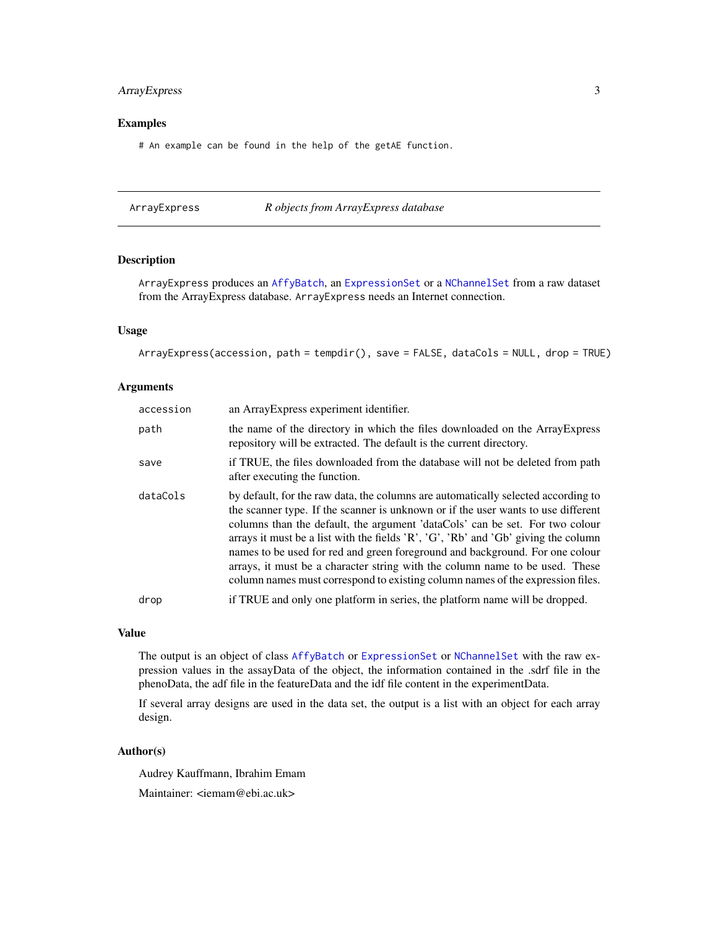#### <span id="page-2-0"></span>ArrayExpress 3

#### Examples

# An example can be found in the help of the getAE function.

<span id="page-2-1"></span>ArrayExpress *R objects from ArrayExpress database*

#### Description

ArrayExpress produces an [AffyBatch](#page-0-0), an [ExpressionSet](#page-0-0) or a [NChannelSet](#page-0-0) from a raw dataset from the ArrayExpress database. ArrayExpress needs an Internet connection.

#### Usage

ArrayExpress(accession, path = tempdir(), save = FALSE, dataCols = NULL, drop = TRUE)

#### Arguments

| accession | an ArrayExpress experiment identifier.                                                                                                                                                                                                                                                                                                                                                                                                                                                                                                                                                           |
|-----------|--------------------------------------------------------------------------------------------------------------------------------------------------------------------------------------------------------------------------------------------------------------------------------------------------------------------------------------------------------------------------------------------------------------------------------------------------------------------------------------------------------------------------------------------------------------------------------------------------|
| path      | the name of the directory in which the files downloaded on the Array Express<br>repository will be extracted. The default is the current directory.                                                                                                                                                                                                                                                                                                                                                                                                                                              |
| save      | if TRUE, the files downloaded from the database will not be deleted from path<br>after executing the function.                                                                                                                                                                                                                                                                                                                                                                                                                                                                                   |
| dataCols  | by default, for the raw data, the columns are automatically selected according to<br>the scanner type. If the scanner is unknown or if the user wants to use different<br>columns than the default, the argument 'dataCols' can be set. For two colour<br>arrays it must be a list with the fields $'R', G', Rb'$ and $'Gb'$ giving the column<br>names to be used for red and green foreground and background. For one colour<br>arrays, it must be a character string with the column name to be used. These<br>column names must correspond to existing column names of the expression files. |
| drop      | if TRUE and only one platform in series, the platform name will be dropped.                                                                                                                                                                                                                                                                                                                                                                                                                                                                                                                      |

#### Value

The output is an object of class [AffyBatch](#page-0-0) or [ExpressionSet](#page-0-0) or [NChannelSet](#page-0-0) with the raw expression values in the assayData of the object, the information contained in the .sdrf file in the phenoData, the adf file in the featureData and the idf file content in the experimentData.

If several array designs are used in the data set, the output is a list with an object for each array design.

#### Author(s)

Audrey Kauffmann, Ibrahim Emam Maintainer: <iemam@ebi.ac.uk>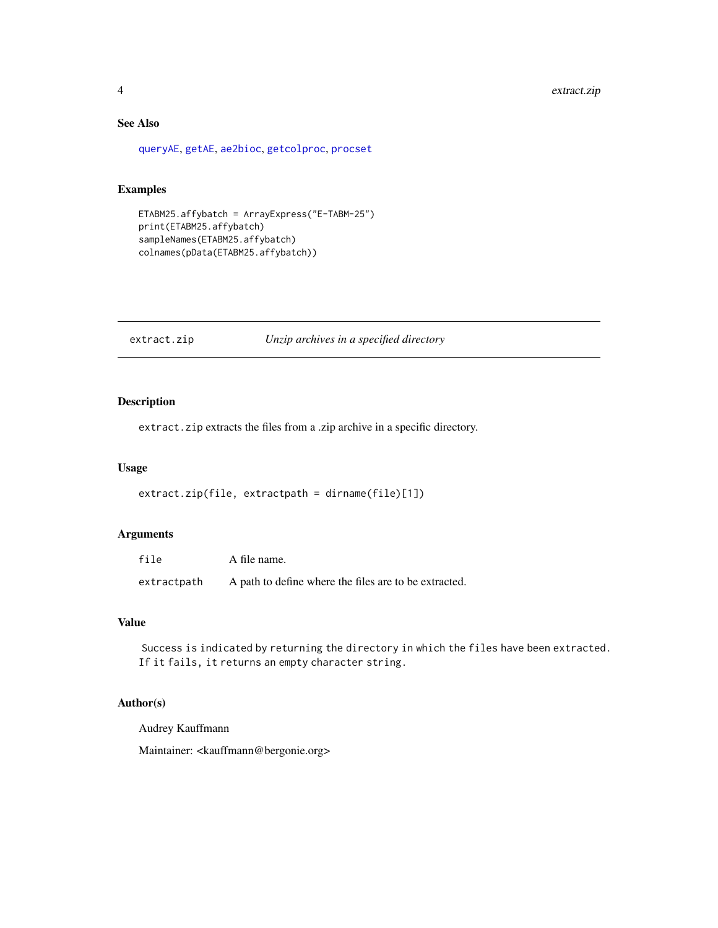## See Also

[queryAE](#page-7-1), [getAE](#page-4-1), [ae2bioc](#page-1-1), [getcolproc](#page-5-1), [procset](#page-6-1)

#### Examples

```
ETABM25.affybatch = ArrayExpress("E-TABM-25")
print(ETABM25.affybatch)
sampleNames(ETABM25.affybatch)
colnames(pData(ETABM25.affybatch))
```
extract.zip *Unzip archives in a specified directory*

#### Description

extract.zip extracts the files from a .zip archive in a specific directory.

#### Usage

```
extract.zip(file, extractpath = dirname(file)[1])
```
#### Arguments

| file        | A file name.                                          |
|-------------|-------------------------------------------------------|
| extractpath | A path to define where the files are to be extracted. |

#### Value

Success is indicated by returning the directory in which the files have been extracted. If it fails, it returns an empty character string.

#### Author(s)

Audrey Kauffmann

Maintainer: <kauffmann@bergonie.org>

<span id="page-3-0"></span>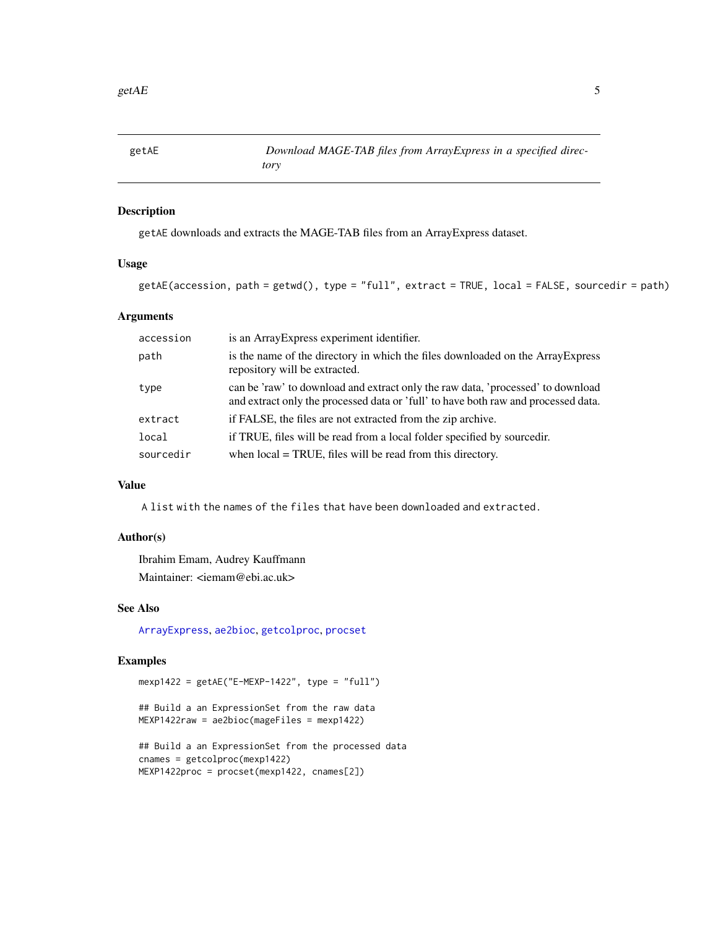<span id="page-4-1"></span><span id="page-4-0"></span>

getAE downloads and extracts the MAGE-TAB files from an ArrayExpress dataset.

#### Usage

```
getAE(accession, path = getwd(), type = "full", extract = TRUE, local = FALSE, sourcedir = path)
```
#### Arguments

| accession | is an ArrayExpress experiment identifier.                                                                                                                             |
|-----------|-----------------------------------------------------------------------------------------------------------------------------------------------------------------------|
| path      | is the name of the directory in which the files downloaded on the ArrayExpress<br>repository will be extracted.                                                       |
| type      | can be 'raw' to download and extract only the raw data, 'processed' to download<br>and extract only the processed data or 'full' to have both raw and processed data. |
| extract   | if FALSE, the files are not extracted from the zip archive.                                                                                                           |
| local     | if TRUE, files will be read from a local folder specified by sourcedir.                                                                                               |
| sourcedir | when $local = TRUE$ , files will be read from this directory.                                                                                                         |

#### Value

A list with the names of the files that have been downloaded and extracted.

#### Author(s)

Ibrahim Emam, Audrey Kauffmann Maintainer: <iemam@ebi.ac.uk>

#### See Also

[ArrayExpress](#page-2-1), [ae2bioc](#page-1-1), [getcolproc](#page-5-1), [procset](#page-6-1)

#### Examples

mexp1422 = getAE("E-MEXP-1422", type = "full")

## Build a an ExpressionSet from the raw data MEXP1422raw = ae2bioc(mageFiles = mexp1422)

```
## Build a an ExpressionSet from the processed data
cnames = getcolproc(mexp1422)
MEXP1422proc = procset(mexp1422, cnames[2])
```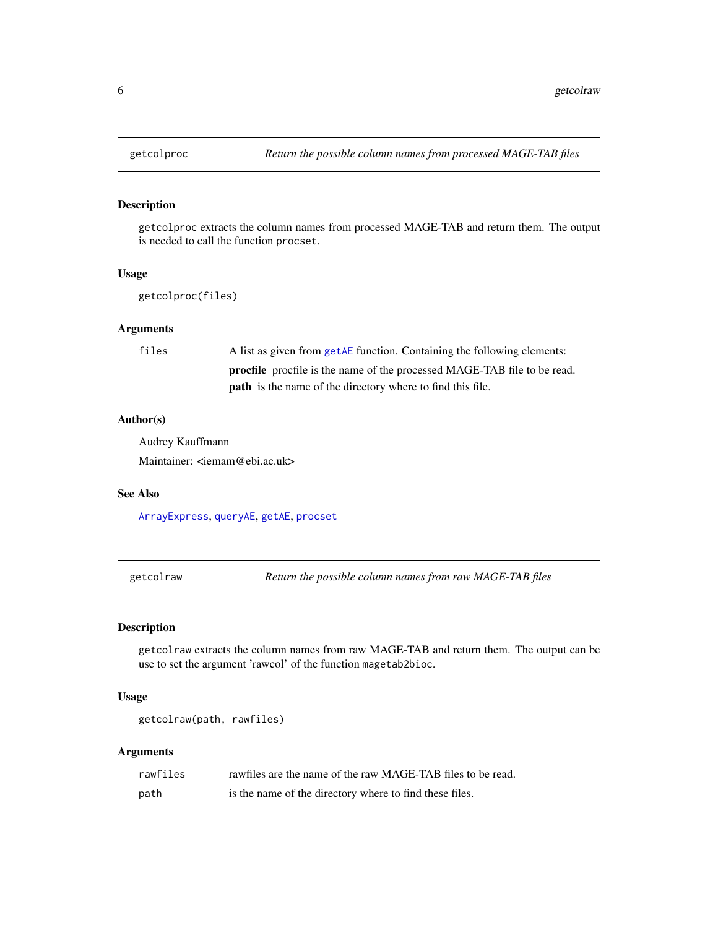getcolproc extracts the column names from processed MAGE-TAB and return them. The output is needed to call the function procset.

#### Usage

```
getcolproc(files)
```
#### Arguments

| files | A list as given from getAE function. Containing the following elements:         |
|-------|---------------------------------------------------------------------------------|
|       | <b>procfile</b> procfile is the name of the processed MAGE-TAB file to be read. |
|       | <b>path</b> is the name of the directory where to find this file.               |

#### Author(s)

Audrey Kauffmann Maintainer: <iemam@ebi.ac.uk>

#### See Also

[ArrayExpress](#page-2-1), [queryAE](#page-7-1), [getAE](#page-4-1), [procset](#page-6-1)

getcolraw *Return the possible column names from raw MAGE-TAB files*

#### Description

getcolraw extracts the column names from raw MAGE-TAB and return them. The output can be use to set the argument 'rawcol' of the function magetab2bioc.

#### Usage

```
getcolraw(path, rawfiles)
```
## Arguments

| rawfiles | rawfiles are the name of the raw MAGE-TAB files to be read. |
|----------|-------------------------------------------------------------|
| path     | is the name of the directory where to find these files.     |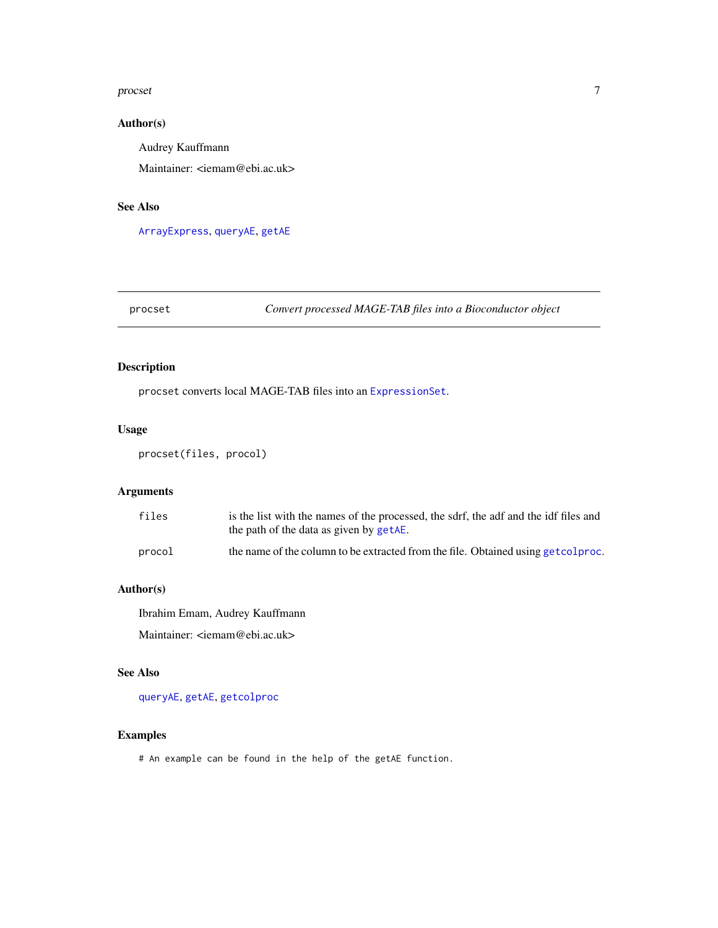#### <span id="page-6-0"></span>procset 7 and 2008 and 2008 and 2008 and 2008 and 2008 and 2008 and 2008 and 2008 and 2008 and 2008 and 2008 and 2008 and 2008 and 2008 and 2008 and 2008 and 2008 and 2008 and 2008 and 2008 and 2008 and 2008 and 2008 and 2

#### Author(s)

Audrey Kauffmann

Maintainer: <iemam@ebi.ac.uk>

### See Also

[ArrayExpress](#page-2-1), [queryAE](#page-7-1), [getAE](#page-4-1)

## <span id="page-6-1"></span>procset *Convert processed MAGE-TAB files into a Bioconductor object*

## Description

procset converts local MAGE-TAB files into an [ExpressionSet](#page-0-0).

#### Usage

procset(files, procol)

#### Arguments

| files  | is the list with the names of the processed, the sdrf, the adf and the idf files and<br>the path of the data as given by getAE. |
|--------|---------------------------------------------------------------------------------------------------------------------------------|
| procol | the name of the column to be extracted from the file. Obtained using get colproc.                                               |

#### Author(s)

Ibrahim Emam, Audrey Kauffmann Maintainer: <iemam@ebi.ac.uk>

#### See Also

[queryAE](#page-7-1), [getAE](#page-4-1), [getcolproc](#page-5-1)

#### Examples

# An example can be found in the help of the getAE function.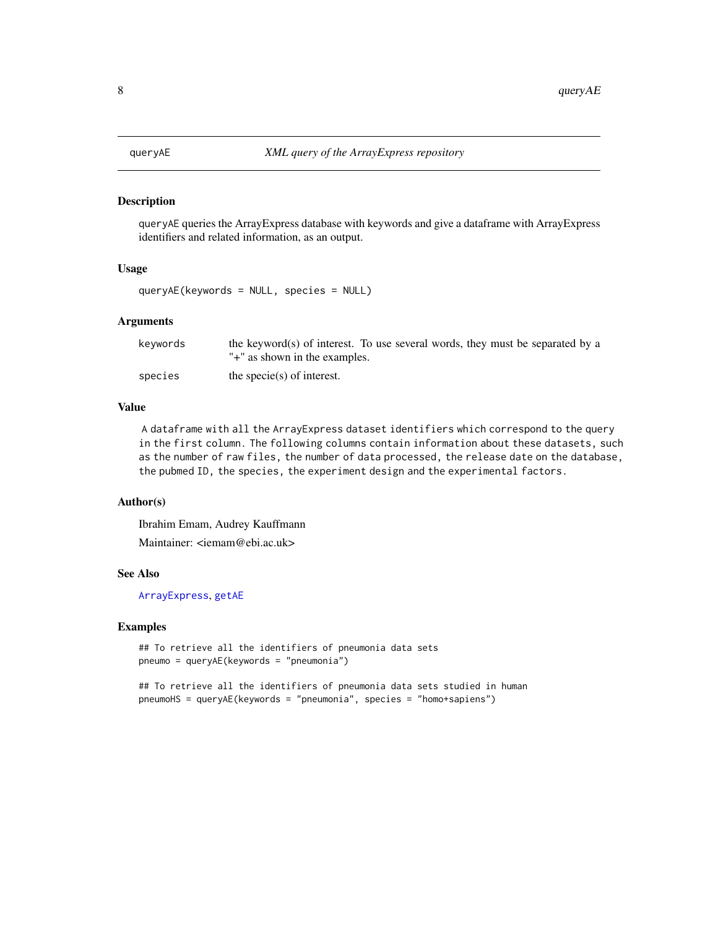queryAE queries the ArrayExpress database with keywords and give a dataframe with ArrayExpress identifiers and related information, as an output.

#### Usage

queryAE(keywords = NULL, species = NULL)

#### Arguments

| keywords | the keyword(s) of interest. To use several words, they must be separated by a |
|----------|-------------------------------------------------------------------------------|
|          | "+" as shown in the examples.                                                 |
| species  | the specie(s) of interest.                                                    |

#### Value

A dataframe with all the ArrayExpress dataset identifiers which correspond to the query in the first column. The following columns contain information about these datasets, such as the number of raw files, the number of data processed, the release date on the database, the pubmed ID, the species, the experiment design and the experimental factors.

#### Author(s)

Ibrahim Emam, Audrey Kauffmann

Maintainer: <iemam@ebi.ac.uk>

#### See Also

[ArrayExpress](#page-2-1), [getAE](#page-4-1)

#### Examples

```
## To retrieve all the identifiers of pneumonia data sets
pneumo = queryAE(keywords = "pneumonia")
```
## To retrieve all the identifiers of pneumonia data sets studied in human pneumoHS = queryAE(keywords = "pneumonia", species = "homo+sapiens")